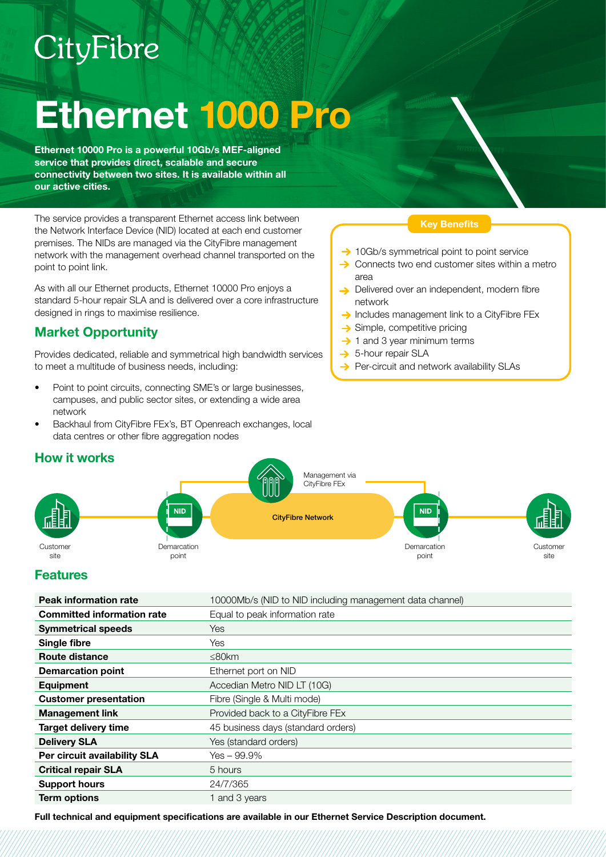# CityFibre

# Ethernet 1000 Pro

Ethernet 10000 Pro is a powerful 10Gb/s MEF-aligned service that provides direct, scalable and secure connectivity between two sites. It is available within all our active cities.

The service provides a transparent Ethernet access link between the Network Interface Device (NID) located at each end customer premises. The NIDs are managed via the CityFibre management network with the management overhead channel transported on the point to point link.

As with all our Ethernet products, Ethernet 10000 Pro enjoys a standard 5-hour repair SLA and is delivered over a core infrastructure designed in rings to maximise resilience.

## Market Opportunity

Provides dedicated, reliable and symmetrical high bandwidth services to meet a multitude of business needs, including:

- Point to point circuits, connecting SME's or large businesses, campuses, and public sector sites, or extending a wide area network
- Backhaul from CityFibre FEx's, BT Openreach exchanges, local data centres or other fibre aggregation nodes

#### Key Benefits

- $\rightarrow$  10Gb/s symmetrical point to point service
- $\rightarrow$  Connects two end customer sites within a metro area
- Delivered over an independent, modern fibre network
- $\rightarrow$  Includes management link to a CityFibre FEx
- $\rightarrow$  Simple, competitive pricing
- $\rightarrow$  1 and 3 year minimum terms
- $\rightarrow$  5-hour repair SLA
- $\rightarrow$  Per-circuit and network availability SLAs



### **Features**

How it works

| <b>Peak information rate</b>      | 10000Mb/s (NID to NID including management data channel) |
|-----------------------------------|----------------------------------------------------------|
| <b>Committed information rate</b> | Equal to peak information rate                           |
| <b>Symmetrical speeds</b>         | Yes                                                      |
| Single fibre                      | Yes                                                      |
| Route distance                    | $\leq$ 80km                                              |
| <b>Demarcation point</b>          | Ethernet port on NID                                     |
| <b>Equipment</b>                  | Accedian Metro NID LT (10G)                              |
| <b>Customer presentation</b>      | Fibre (Single & Multi mode)                              |
| <b>Management link</b>            | Provided back to a CityFibre FEx                         |
| <b>Target delivery time</b>       | 45 business days (standard orders)                       |
| <b>Delivery SLA</b>               | Yes (standard orders)                                    |
| Per circuit availability SLA      | $Yes - 99.9\%$                                           |
| <b>Critical repair SLA</b>        | 5 hours                                                  |
| <b>Support hours</b>              | 24/7/365                                                 |
| <b>Term options</b>               | 1 and 3 years                                            |

Full technical and equipment specifications are available in our Ethernet Service Description document.